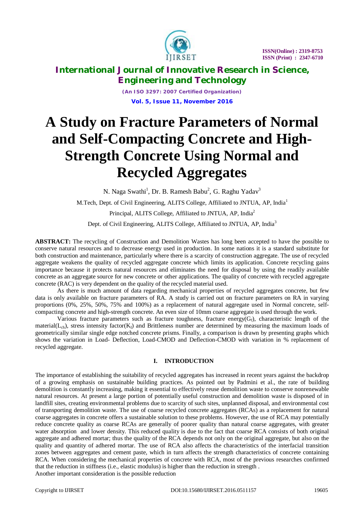

*(An ISO 3297: 2007 Certified Organization)* **Vol. 5, Issue 11, November 2016**

# **A Study on Fracture Parameters of Normal and Self-Compacting Concrete and High-Strength Concrete Using Normal and Recycled Aggregates**

N. Naga Swathi<sup>1</sup>, Dr. B. Ramesh Babu<sup>2</sup>, G. Raghu Yadav<sup>3</sup>

M.Tech, Dept. of Civil Engineering, ALITS College, Affiliated to JNTUA, AP, India<sup>1</sup>

Principal, ALITS College, Affiliated to JNTUA, AP, India<sup>2</sup>

Dept. of Civil Engineering, ALITS College, Affiliated to JNTUA, AP, India<sup>3</sup>

**ABSTRACT:** The recycling of Construction and Demolition Wastes has long been accepted to have the possible to conserve natural resources and to decrease energy used in production. In some nations it is a standard substitute for both construction and maintenance, particularly where there is a scarcity of construction aggregate. The use of recycled aggregate weakens the quality of recycled aggregate concrete which limits its application. Concrete recycling gains importance because it protects natural resources and eliminates the need for disposal by using the readily available concrete as an aggregate source for new concrete or other applications. The quality of concrete with recycled aggregate concrete (RAC) is very dependent on the quality of the recycled material used.

As there is much amount of data regarding mechanical properties of recycled aggregates concrete, but few data is only available on fracture parameters of RA. A study is carried out on fracture parameters on RA in varying proportions (0%, 25%, 50%, 75% and 100%) as a replacement of natural aggregate used in Normal concrete, selfcompacting concrete and high-strength concrete. An even size of 10mm coarse aggregate is used through the work.

Various fracture parameters such as fracture toughness, fracture energy( $G_f$ ), characteristic length of the material( $L<sub>ch</sub>$ ), stress intensity factor( $K<sub>i</sub>$ ) and Brittleness number are determined by measuring the maximum loads of geometrically similar single edge notched concrete prisms. Finally, a comparison is drawn by presenting graphs which shows the variation in Load- Deflection, Load-CMOD and Deflection-CMOD with variation in % replacement of recycled aggregate.

### **I. INTRODUCTION**

The importance of establishing the suitability of recycled aggregates has increased in recent years against the backdrop of a growing emphasis on sustainable building practices. As pointed out by Padmini et al., the rate of building demolition is constantly increasing, making it essential to effectively reuse demolition waste to conserve nonrenewable natural resources. At present a large portion of potentially useful construction and demolition waste is disposed of in landfill sites, creating environmental problems due to scarcity of such sites, unplanned disposal, and environmental cost of transporting demolition waste. The use of coarse recycled concrete aggregates (RCAs) as a replacement for natural coarse aggregates in concrete offers a sustainable solution to these problems. However, the use of RCA may potentially reduce concrete quality as coarse RCAs are generally of poorer quality than natural coarse aggregates, with greater water absorption and lower density. This reduced quality is due to the fact that coarse RCA consists of both original aggregate and adhered mortar; thus the quality of the RCA depends not only on the original aggregate, but also on the quality and quantity of adhered mortar. The use of RCA also affects the characteristics of the interfacial transition zones between aggregates and cement paste, which in turn affects the strength characteristics of concrete containing RCA. When considering the mechanical properties of concrete with RCA, most of the previous researches confirmed that the reduction in stiffness (i.e., elastic modulus) is higher than the reduction in strength . Another important consideration is the possible reduction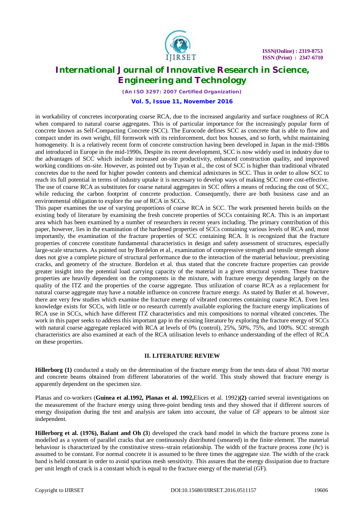

*(An ISO 3297: 2007 Certified Organization)*

#### **Vol. 5, Issue 11, November 2016**

in workability of concretes incorporating coarse RCA, due to the increased angularity and surface roughness of RCA when compared to natural coarse aggregates. This is of particular importance for the increasingly popular form of concrete known as Self-Compacting Concrete (SCC). The Eurocode defines SCC as concrete that is able to flow and compact under its own weight, fill formwork with its reinforcement, duct box houses, and so forth, whilst maintaining homogeneity. It is a relatively recent form of concrete construction having been developed in Japan in the mid-1980s and introduced in Europe in the mid-1990s. Despite its recent development, SCC is now widely used in industry due to the advantages of SCC which include increased on-site productivity, enhanced construction quality, and improved working conditions on-site. However, as pointed out by Tuyan et al., the cost of SCC is higher than traditional vibrated concretes due to the need for higher powder contents and chemical admixtures in SCC. Thus in order to allow SCC to reach its full potential in terms of industry uptake it is necessary to develop ways of making SCC more cost-effective. The use of coarse RCA as substitutes for coarse natural aggregates in SCC offers a means of reducing the cost of SCC, while reducing the carbon footprint of concrete production. Consequently, there are both business case and an environmental obligation to explore the use of RCA in SCCs.

This paper examines the use of varying proportions of coarse RCA in SCC. The work presented herein builds on the existing body of literature by examining the fresh concrete properties of SCCs containing RCA. This is an important area which has been examined by a number of researchers in recent years including. The primary contribution of this paper, however, lies in the examination of the hardened properties of SCCs containing various levels of RCA and, most importantly, the examination of the fracture properties of SCC containing RCA. It is recognized that the fracture properties of concrete constitute fundamental characteristics in design and safety assessment of structures, especially large-scale structures. As pointed out by Bordelon et al., examination of compressive strength and tensile strength alone does not give a complete picture of structural performance due to the interaction of the material behaviour, preexisting cracks, and geometry of the structure. Bordelon et al. thus stated that the concrete fracture properties can provide greater insight into the potential load carrying capacity of the material in a given structural system. These fracture properties are heavily dependent on the components in the mixture, with fracture energy depending largely on the quality of the ITZ and the properties of the coarse aggregate. Thus utilization of coarse RCA as a replacement for natural coarse aggregate may have a notable influence on concrete fracture energy. As stated by Butler et al. however, there are very few studies which examine the fracture energy of vibrated concretes containing coarse RCA. Even less knowledge exists for SCCs, with little or no research currently available exploring the fracture energy implications of RCA use in SCCs, which have different ITZ characteristics and mix compositions to normal vibrated concretes. The work in this paper seeks to address this important gap in the existing literature by exploring the fracture energy of SCCs with natural coarse aggregate replaced with RCA at levels of 0% (control), 25%, 50%, 75%, and 100%. SCC strength characteristics are also examined at each of the RCA utilisation levels to enhance understanding of the effect of RCA on these properties.

#### **II. LITERATURE REVIEW**

**Hillerborg (1)** conducted a study on the determination of the fracture energy from the tests data of about 700 mortar and concrete beams obtained from different laboratories of the world. This study showed that fracture energy is apparently dependent on the specimen size.

Planas and co-workers (**Guinea et al.1992, Planas et al. 1992,**Elices et al. 1992)**(2)** carried several investigations on the measurement of the fracture energy using three-point bending tests and they showed that if different sources of energy dissipation during the test and analysis are taken into account, the value of *G*F appears to be almost size independent.

**Hillerborg et al. (1976), Bažant and Oh (3**) developed the crack band model in which the fracture process zone is modelled as a system of parallel cracks that are continuously distributed (smeared) in the finite element. The material behaviour is characterized by the constitutive stress–strain relationship. The width of the fracture process zone (*h*c) is assumed to be constant. For normal concrete it is assumed to be three times the aggregate size. The width of the crack band is held constant in order to avoid spurious mesh sensitivity. This assures that the energy dissipation due to fracture per unit length of crack is a constant which is equal to the fracture energy of the material (*G*F).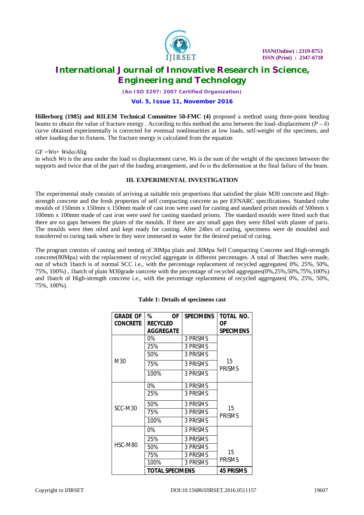

*(An ISO 3297: 2007 Certified Organization)*

### **Vol. 5, Issue 11, November 2016**

**Hillerborg (1985) and RILEM Technical Committee 50-FMC (4)** proposed a method using three-point bending beams to obtain the value of fracture energy . According to this method the area between the load–displacement  $(P - \delta)$ curve obtained experimentally is corrected for eventual nonlinearities at low loads, self-weight of the specimen, and other loading due to fixtures. The fracture energy is calculated from the equation

*G*F =*W*o+ *W*sδo/*A*lig

in which *W*o is the area under the load vs displacement curve, *W*s is the sum of the weight of the specimen between the supports and twice that of the part of the loading arrangement, and δo is the deformation at the final failure of the beam.

### **III. EXPERIMENTAL INVESTIGATION**

The experimental study consists of arriving at suitable mix proportions that satisfied the plain M30 concrete and Highstrength concrete and the fresh properties of self compacting concrete as per EFNARC specifications. Standard cube moulds of 150mm x 150mm x 150mm made of cast iron were used for casting and standard prism moulds of 500mm x 100mm x 100mm made of cast iron were used for casting standard prisms. The standard moulds were fitted such that there are no gaps between the plates of the moulds. If there are any small gaps they were filled with plaster of paris. The moulds were then oiled and kept ready for casting. After 24hrs of casting, specimens were de moulded and transferred to curing tank where in they were immersed in water for the desired period of curing.

The program consists of casting and testing of 30Mpa plain and 30Mpa Self Compacting Concrete and High-strength concrete(80Mpa) with the replacement of recycled aggregate in different percentages. A total of 3batches were made, out of which 1batch is of normal SCC i.e., with the percentage replacement of recycled aggregates( 0%, 25%, 50%, 75%, 100%) , 1batch of plain M30grade concrete with the percentage of recycled aggregates(0%,25%,50%,75%,100%) and 1batch of High-strength concrete i.e., with the percentage replacement of recycled aggregates( 0%, 25%, 50%, 75%, 100%).

| <b>GRADE OF</b> | %<br><b>OF</b>   | <b>SPECIMENS</b> | TOTAL NO.           |
|-----------------|------------------|------------------|---------------------|
| <b>CONCRETE</b> | <b>RECYCLED</b>  |                  | ОF                  |
|                 | <b>AGGREGATE</b> |                  | <b>SPECIMENS</b>    |
|                 | 0%               | 3 PRISMS         |                     |
|                 | 25%              | 3 PRISMS         |                     |
| M30             | 50%              | 3 PRISMS         |                     |
|                 | 75%              | 3 PRISMS         | 15<br><b>PRISMS</b> |
|                 | 100%             | 3 PRISMS         |                     |
|                 | $0\%$            | 3 PRISMS         |                     |
|                 | 25%              | 3 PRISMS         |                     |
| SCC-M30         | 50%              | 3 PRISMS         | 15                  |
|                 | 75%              | 3 PRISMS         | <b>PRISMS</b>       |
|                 | 100%             | 3 PRISMS         |                     |
|                 | 0%               | 3 PRISMS         |                     |
| HSC-M80         | 25%              | 3 PRISMS         |                     |
|                 | 50%              | 3 PRISMS         |                     |
|                 | 75%              | 3 PRISMS         | 15                  |
|                 | 100%             | 3 PRISMS         | <b>PRISMS</b>       |
|                 | TOTAL SPECIMENS  | <b>45 PRISMS</b> |                     |

### **Table 1: Details of specimens cast**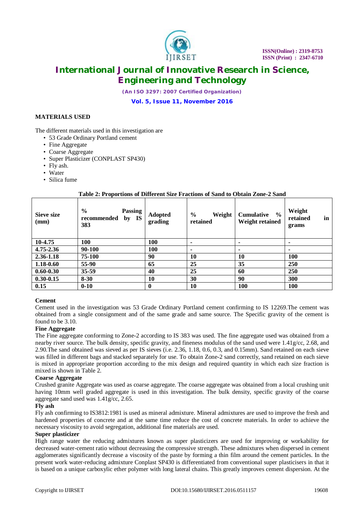

*(An ISO 3297: 2007 Certified Organization)*

### **Vol. 5, Issue 11, November 2016**

### **MATERIALS USED**

The different materials used in this investigation are

- 53 Grade Ordinary Portland cement
- Fine Aggregate
- Coarse Aggregate
- Super Plasticizer (CONPLAST SP430)
- Fly ash.
- Water
- Silica fume

### **Table 2: Proportions of Different Size Fractions of Sand to Obtain Zone-2 Sand**

| Sieve size<br>(mm) | $\frac{0}{0}$<br><b>Passing</b><br>by IS<br>recommended<br>383 | <b>Adopted</b><br>grading | $\frac{0}{0}$<br>Weight<br>retained | $\frac{0}{0}$<br><b>Cumulative</b><br>Weight retained | Weight<br>retained<br>in<br>grams |
|--------------------|----------------------------------------------------------------|---------------------------|-------------------------------------|-------------------------------------------------------|-----------------------------------|
| 10-4.75            | 100                                                            | 100                       |                                     | ۰                                                     | ۰                                 |
| 4.75-2.36          | 90-100                                                         | 100                       | ۰                                   |                                                       |                                   |
| 2.36-1.18          | 75-100                                                         | 90                        | 10                                  | 10                                                    | <b>100</b>                        |
| 1.18-0.60          | 55-90                                                          | 65                        | 25                                  | 35                                                    | 250                               |
| $0.60 - 0.30$      | 35-59                                                          | 40                        | 25                                  | 60                                                    | 250                               |
| $0.30 - 0.15$      | $8 - 30$                                                       | 10                        | 30                                  | 90                                                    | 300                               |
| 0.15               | $0 - 10$                                                       | 0                         | 10                                  | 100                                                   | <b>100</b>                        |

### **Cement**

Cement used in the investigation was 53 Grade Ordinary Portland cement confirming to IS 12269.The cement was obtained from a single consignment and of the same grade and same source. The Specific gravity of the cement is found to be 3.10.

### **Fine Aggregate**

The Fine aggregate conforming to Zone-2 according to IS 383 was used. The fine aggregate used was obtained from a nearby river source. The bulk density, specific gravity, and fineness modulus of the sand used were 1.41g/cc, 2.68, and 2.90.The sand obtained was sieved as per IS sieves (i.e. 2.36, 1.18, 0.6, 0.3, and 0.15mm). Sand retained on each sieve was filled in different bags and stacked separately for use. To obtain Zone-2 sand correctly, sand retained on each sieve is mixed in appropriate proportion according to the mix design and required quantity in which each size fraction is mixed is shown in Table 2.

### **Coarse Aggregate**

Crushed granite Aggregate was used as coarse aggregate. The coarse aggregate was obtained from a local crushing unit having 10mm well graded aggregate is used in this investigation. The bulk density, specific gravity of the coarse aggregate sand used was 1.41g/cc, 2.65.

### **Fly ash**

Fly ash confirming to IS3812:1981 is used as mineral admixture. Mineral admixtures are used to improve the fresh and hardened properties of concrete and at the same time reduce the cost of concrete materials. In order to achieve the necessary viscosity to avoid segregation, additional fine materials are used.

#### **Super plasticizer**

High range water the reducing admixtures known as super plasticizers are used for improving or workability for decreased water-cement ratio without decreasing the compressive strength. These admixtures when dispersed in cement agglomerates significantly decrease a viscosity of the paste by forming a thin film around the cement particles. In the present work water-reducing admixture Conplast SP430 is differentiated from conventional super plasticisers in that it is based on a unique carboxylic ether polymer with long lateral chains. This greatly improves cement dispersion. At the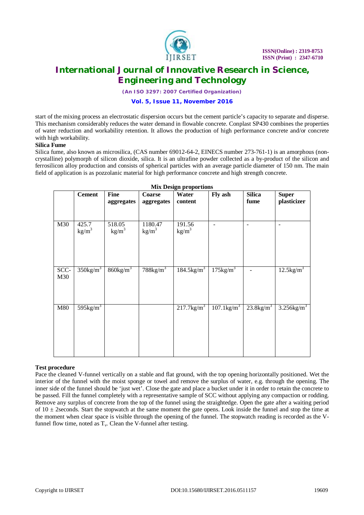

*(An ISO 3297: 2007 Certified Organization)*

### **Vol. 5, Issue 11, November 2016**

start of the mixing process an electrostatic dispersion occurs but the cement particle's capacity to separate and disperse. This mechanism considerably reduces the water demand in flowable concrete. Conplast SP430 combines the properties of water reduction and workability retention. It allows the production of high performance concrete and/or concrete with high workability.

### **Silica Fume**

Silica fume, also known as microsilica, (CAS number 69012-64-2, EINECS number 273-761-1) is an amorphous (noncrystalline) polymorph of silicon dioxide, silica. It is an ultrafine powder collected as a by-product of the silicon and ferrosilicon alloy production and consists of spherical particles with an average particle diameter of 150 nm. The main field of application is as pozzolanic material for high performance concrete and high strength concrete.

|             | вил пезідн ргорогиона    |                           |                              |                             |                           |                          |                             |  |  |
|-------------|--------------------------|---------------------------|------------------------------|-----------------------------|---------------------------|--------------------------|-----------------------------|--|--|
|             | <b>Cement</b>            | <b>Fine</b><br>aggregates | Coarse<br>aggregates         | Water<br>content            | Fly ash                   | <b>Silica</b><br>fume    | <b>Super</b><br>plasticizer |  |  |
| M30         | 425.7<br>$\text{kg/m}^3$ | 518.05<br>$\text{kg/m}^3$ | 1180.47<br>kg/m <sup>3</sup> | 191.56<br>kg/m <sup>3</sup> |                           | $\qquad \qquad -$        |                             |  |  |
| SCC-<br>M30 | $350\text{kg/m}^3$       | $860\text{kg/m}^3$        | $788$ kg/m <sup>3</sup>      | $184.5$ kg/m <sup>3</sup>   | $175\text{kg/m}^3$        |                          | $12.5$ kg/m <sup>3</sup>    |  |  |
| M80         | $595\text{kg/m}^3$       |                           |                              | $217.7$ $\text{kg/m}^3$     | $107.1$ kg/m <sup>3</sup> | $23.8$ kg/m <sup>3</sup> | $3.256$ kg/m <sup>3</sup>   |  |  |

**Mix Design proportions**

#### **Test procedure**

Pace the cleaned V-funnel vertically on a stable and flat ground, with the top opening horizontally positioned. Wet the interior of the funnel with the moist sponge or towel and remove the surplus of water, e.g. through the opening. The inner side of the funnel should be 'just wet'. Close the gate and place a bucket under it in order to retain the concrete to be passed. Fill the funnel completely with a representative sample of SCC without applying any compaction or rodding. Remove any surplus of concrete from the top of the funnel using the straightedge. Open the gate after a waiting period of  $10 \pm 2$  seconds. Start the stopwatch at the same moment the gate opens. Look inside the funnel and stop the time at the moment when clear space is visible through the opening of the funnel. The stopwatch reading is recorded as the Vfunnel flow time, noted as  $T_v$ . Clean the V-funnel after testing.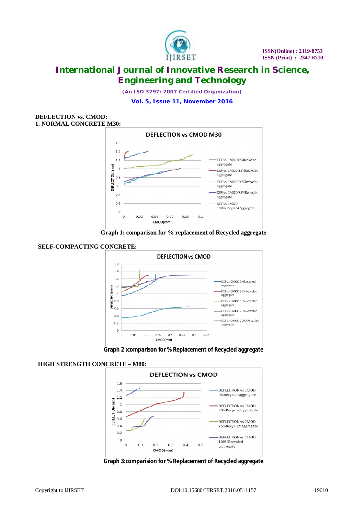

*(An ISO 3297: 2007 Certified Organization)*

**Vol. 5, Issue 11, November 2016**

### **DEFLECTION vs. CMOD: 1. NORMAL CONCRETE M30:**



**Graph 1: comparison for % replacement of Recycled aggregate**



**SELF-COMPACTING CONCRETE:**



### **HIGH STRENGTH CONCRETE – M80:**



**Graph 3:comparision for % Replacement of Recycled aggregate**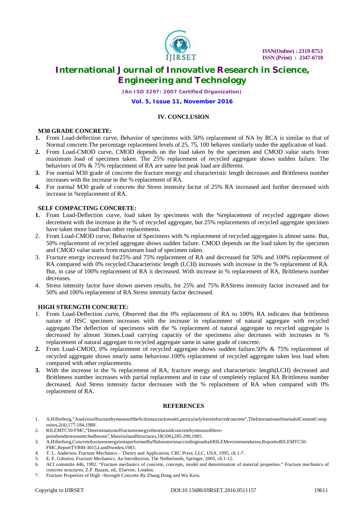

*(An ISO 3297: 2007 Certified Organization)*

### **Vol. 5, Issue 11, November 2016**

### **IV. CONCLUSION**

### **M30 GRADE CONCRETE:**

- **1.** From Load-deflection curve, Behavior of specimens with 50% replacement of NA by RCA is similar to that of Normal concrete.The percentage replacement levels of 25, 75, 100 behaves similarly under the application of load.
- **2.** From Load-CMOD curve, CMOD depends on the load taken by the specimen and CMOD value starts from maximum load of specimen taken. The 25% replacement of recycled aggregate shows sudden failure. The behaviors of 0% & 75% replacement of RA are same but peak load are different.
- **3.** For normal M30 grade of concrete the fracture energy and characteristic length decreases and Brittleness number increases with the increase in the % replacement of RA.
- **4.** For normal M30 grade of concrete the Stress intensity factor of 25% RA increased and further decreased with increase in %replacement of RA.

#### **SELF COMPACTING CONCRETE:**

- **1.** From Load-Deflection curve, load taken by specimens with the %replacement of recycled aggregate shows decrement with the increase in the % of recycled aggregate, but 25% replacements of recycled aggregate specimen have taken more load than other replacements.
- 2. From Load-CMOD curve, Behavior of Specimens with % replacement of recycled aggregates is almost same. But, 50% replacement of recycled aggregate shows sudden failure. CMOD depends on the load taken by the specimen and CMOD value starts from maximum load of specimen taken.
- 3. Fracture energy increased for25% and 75% replacement of RA and decreased for 50% and 100% replacement of RA compared with 0% recycled.Characteristic length (LCH) increases with increase in the % replacement of RA. But, in case of 100% replacement of RA it decreased. With increase in % replacement of RA, Brittleness number decreases.
- 4. Stress intensity factor have shown uneven results, for 25% and 75% RAStress intensity factor increased and for 50% and 100% replacement of RA Stress intensity factor decreased.

#### **HIGH STRENGTH CONCRETE:**

- 1. From Load-Deflection curve, Observed that the 0% replacement of RA to 100% RA indicates that brittleness nature of HSC specimen increases with the increase in replacement of natural aggregate with recycled aggregate.The deflection of specimens with the % replacement of natural aggregate to recycled aggregate is decreased by almost 3times.Load carrying capacity of the specimens also decreases with increases in % replacement of natural aggregate to recycled aggregate same in same grade of concrete.
- **2.** From Load-CMOD, 0% replacement of recycled aggregate shows sudden failure.50% & 75% replacement of recycled aggregate shows nearly same behaviour.100% replacement of recycled aggregate taken less load when compared with other replacements.
- **3.** With the increase in the % replacement of RA, fracture energy and characteristic length(LCH) decreased and Brittleness number increases with partial replacement and in case of completely replaced RA Brittleness number decreased. And Stress intensity factor decreases with the % replacement of RA when compared with 0% replacement of RA.

#### **REFERENCES**

- 1. A.Hillerborg,"Analysisoffracturebymeansofthefictitiouscrackmodel,particularlyforreinforcedconcrete",TheInternationalJournalofCementComp osites,2(4),177-184,1980.
- 2. RILEMTC50-FMC,"Determinationoffractureenergyofmortarandconcretebymeansofthree-
- pointbendtestsonnotchedbeams",MaterialsandStructures,18(106),285-290,1985. 3. A.Hillerborg,Concretefractureenergytestsperformedby9laboratoriesaccordingtoadraftRILEMrecommendation,ReporttoRILEMTC50-
- FMC,ReportTVBM-3015,LundSweden,1983.
- 4. T. L. Anderson, Fracture Mechanics Theory and Application, CRC Press, LLC, USA, 1995, ch.1-7.
- 5. E. E. Gdoutos, Fracture Mechanics, An Introduction, The Netherlands, Springer, 2005, ch.1-12.
- 6. ACI committe 446, 1992. "Fracture mechanics of concrete, concepts, model and determination of material properties." Fracture mechanics of concrete structures, Z.P. Bazant, ed,. Elsevier, London.
- 7. Fracture Properties of High –Strength Concrete By Zhang Dong and Wu Keru.